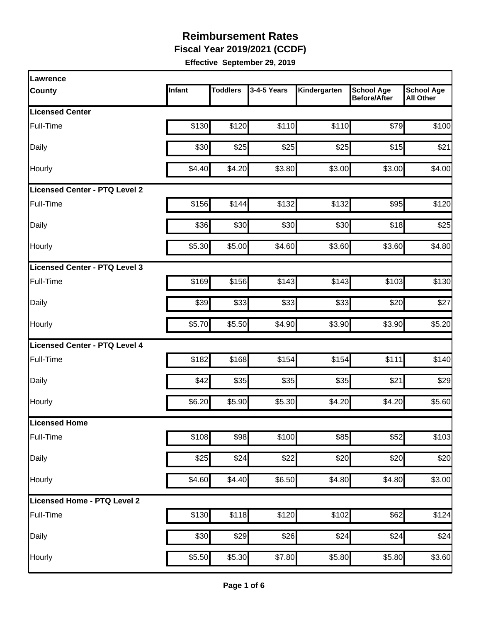**Fiscal Year 2019/2021 (CCDF)** 

| <b>Lawrence</b>               |        |                 |             |              |                                          |                                       |
|-------------------------------|--------|-----------------|-------------|--------------|------------------------------------------|---------------------------------------|
| <b>County</b>                 | Infant | <b>Toddlers</b> | 3-4-5 Years | Kindergarten | <b>School Age</b><br><b>Before/After</b> | <b>School Age</b><br><b>All Other</b> |
| <b>Licensed Center</b>        |        |                 |             |              |                                          |                                       |
| Full-Time                     | \$130  | \$120           | \$110       | \$110        | \$79                                     | \$100                                 |
| Daily                         | \$30   | \$25            | \$25        | \$25         | \$15                                     | \$21                                  |
| Hourly                        | \$4.40 | \$4.20          | \$3.80      | \$3.00       | \$3.00                                   | \$4.00                                |
| Licensed Center - PTQ Level 2 |        |                 |             |              |                                          |                                       |
| Full-Time                     | \$156  | \$144           | \$132       | \$132        | \$95                                     | \$120                                 |
| Daily                         | \$36   | \$30            | \$30        | \$30         | \$18                                     | \$25                                  |
| Hourly                        | \$5.30 | \$5.00          | \$4.60      | \$3.60       | \$3.60                                   | \$4.80                                |
| Licensed Center - PTQ Level 3 |        |                 |             |              |                                          |                                       |
| Full-Time                     | \$169  | \$156           | \$143       | \$143        | \$103                                    | \$130                                 |
| Daily                         | \$39   | \$33            | \$33        | \$33         | \$20                                     | \$27                                  |
| Hourly                        | \$5.70 | \$5.50          | \$4.90      | \$3.90       | \$3.90                                   | \$5.20                                |
| Licensed Center - PTQ Level 4 |        |                 |             |              |                                          |                                       |
| Full-Time                     | \$182  | \$168           | \$154       | \$154        | \$111                                    | \$140                                 |
| Daily                         | \$42   | \$35            | \$35        | \$35         | \$21                                     | \$29                                  |
| Hourly                        | \$6.20 | \$5.90          | \$5.30      | \$4.20       | \$4.20                                   | \$5.60                                |
| Licensed Home                 |        |                 |             |              |                                          |                                       |
| Full-Time                     | \$108  | \$98            | \$100       | \$85         | \$52                                     | \$103                                 |
| Daily                         | \$25   | \$24            | \$22        | \$20         | \$20                                     | \$20                                  |
| Hourly                        | \$4.60 | \$4.40          | \$6.50      | \$4.80       | \$4.80                                   | \$3.00                                |
| Licensed Home - PTQ Level 2   |        |                 |             |              |                                          |                                       |
| Full-Time                     | \$130  | \$118           | \$120       | \$102        | \$62                                     | \$124                                 |
| Daily                         | \$30   | \$29            | \$26        | \$24         | \$24                                     | \$24                                  |
| Hourly                        | \$5.50 | \$5.30          | \$7.80      | \$5.80       | \$5.80                                   | \$3.60                                |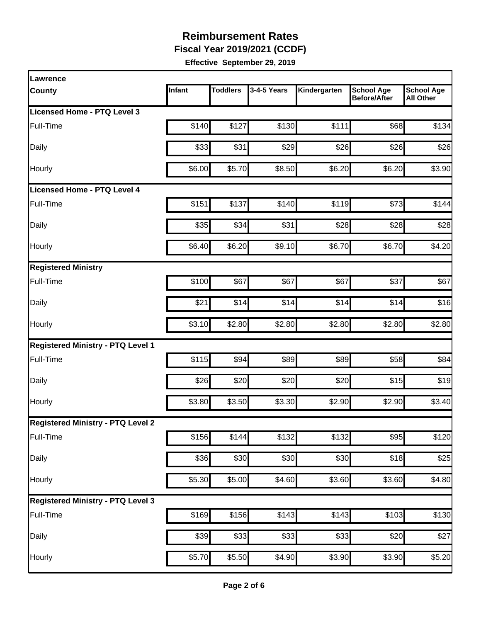**Fiscal Year 2019/2021 (CCDF)** 

| Lawrence                                 |        |                 |             |                    |                                          |                                       |
|------------------------------------------|--------|-----------------|-------------|--------------------|------------------------------------------|---------------------------------------|
| <b>County</b>                            | Infant | <b>Toddlers</b> | 3-4-5 Years | Kindergarten       | <b>School Age</b><br><b>Before/After</b> | <b>School Age</b><br><b>All Other</b> |
| Licensed Home - PTQ Level 3              |        |                 |             |                    |                                          |                                       |
| Full-Time                                | \$140  | \$127           | \$130       | \$111              | \$68                                     | \$134                                 |
| Daily                                    | \$33   | \$31            | \$29        | \$26               | \$26                                     | \$26                                  |
| Hourly                                   | \$6.00 | \$5.70          | \$8.50      | \$6.20             | \$6.20                                   | \$3.90                                |
| <b>Licensed Home - PTQ Level 4</b>       |        |                 |             |                    |                                          |                                       |
| Full-Time                                | \$151  | \$137           | \$140       | \$119              | \$73                                     | \$144                                 |
| Daily                                    | \$35   | \$34            | \$31        | \$28               | \$28                                     | \$28                                  |
| Hourly                                   | \$6.40 | \$6.20          | \$9.10      | \$6.70             | \$6.70                                   | \$4.20                                |
| <b>Registered Ministry</b>               |        |                 |             |                    |                                          |                                       |
| Full-Time                                | \$100  | \$67            | \$67        | \$67               | \$37                                     | \$67                                  |
| Daily                                    | \$21   | \$14            | \$14        | \$14               | \$14                                     | \$16                                  |
| Hourly                                   | \$3.10 | \$2.80          | \$2.80      | \$2.80             | \$2.80                                   | \$2.80                                |
| <b>Registered Ministry - PTQ Level 1</b> |        |                 |             |                    |                                          |                                       |
| Full-Time                                | \$115  | \$94            | \$89        | \$89               | \$58                                     | \$84                                  |
| Daily                                    | \$26   | \$20            | \$20        | \$20               | \$15                                     | \$19                                  |
| Hourly                                   | \$3.80 | \$3.50          | \$3.30      | \$2.90             | \$2.90                                   | \$3.40                                |
| <b>Registered Ministry - PTQ Level 2</b> |        |                 |             |                    |                                          |                                       |
| Full-Time                                | \$156  | \$144           | \$132       | \$132              | \$95                                     | \$120                                 |
| Daily                                    | \$36   | \$30            | \$30        | \$30               | \$18                                     | \$25                                  |
| Hourly                                   | \$5.30 | \$5.00          | \$4.60      | \$3.60             | \$3.60                                   | \$4.80                                |
| <b>Registered Ministry - PTQ Level 3</b> |        |                 |             |                    |                                          |                                       |
| Full-Time                                | \$169  | \$156           | \$143       | \$143              | \$103                                    | \$130                                 |
| Daily                                    | \$39   | \$33            | \$33        | \$33               | \$20                                     | \$27                                  |
| Hourly                                   | \$5.70 | \$5.50          | \$4.90      | $\overline{$3.90}$ | \$3.90                                   | \$5.20                                |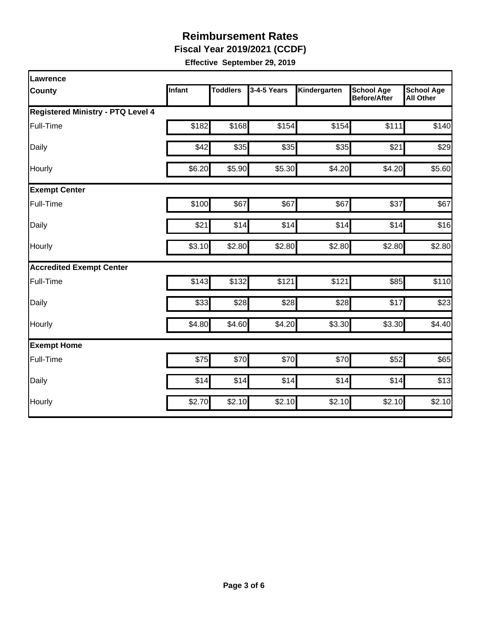**Fiscal Year 2019/2021 (CCDF)** 

| Lawrence                                 |        |                 |             |              |                                          |                                       |
|------------------------------------------|--------|-----------------|-------------|--------------|------------------------------------------|---------------------------------------|
| County                                   | Infant | <b>Toddlers</b> | 3-4-5 Years | Kindergarten | <b>School Age</b><br><b>Before/After</b> | <b>School Age</b><br><b>All Other</b> |
| <b>Registered Ministry - PTQ Level 4</b> |        |                 |             |              |                                          |                                       |
| Full-Time                                | \$182  | \$168           | \$154       | \$154        | \$111                                    | \$140                                 |
| Daily                                    | \$42   | \$35            | \$35        | \$35         | \$21                                     | \$29                                  |
| Hourly                                   | \$6.20 | \$5.90          | \$5.30      | \$4.20       | \$4.20                                   | \$5.60                                |
| <b>Exempt Center</b>                     |        |                 |             |              |                                          |                                       |
| Full-Time                                | \$100  | \$67            | \$67        | \$67         | \$37                                     | \$67                                  |
| Daily                                    | \$21   | \$14            | \$14        | \$14         | \$14                                     | \$16                                  |
| Hourly                                   | \$3.10 | \$2.80          | \$2.80      | \$2.80       | \$2.80                                   | \$2.80                                |
| <b>Accredited Exempt Center</b>          |        |                 |             |              |                                          |                                       |
| Full-Time                                | \$143  | \$132           | \$121       | \$121        | \$85                                     | \$110                                 |
| Daily                                    | \$33   | \$28            | \$28        | \$28         | \$17                                     | \$23                                  |
| Hourly                                   | \$4.80 | \$4.60          | \$4.20      | \$3.30       | \$3.30                                   | \$4.40                                |
| <b>Exempt Home</b>                       |        |                 |             |              |                                          |                                       |
| Full-Time                                | \$75   | \$70            | \$70        | \$70         | \$52                                     | \$65                                  |
| Daily                                    | \$14   | \$14            | \$14        | \$14         | \$14                                     | \$13                                  |
| Hourly                                   | \$2.70 | \$2.10          | \$2.10      | \$2.10       | \$2.10                                   | \$2.10                                |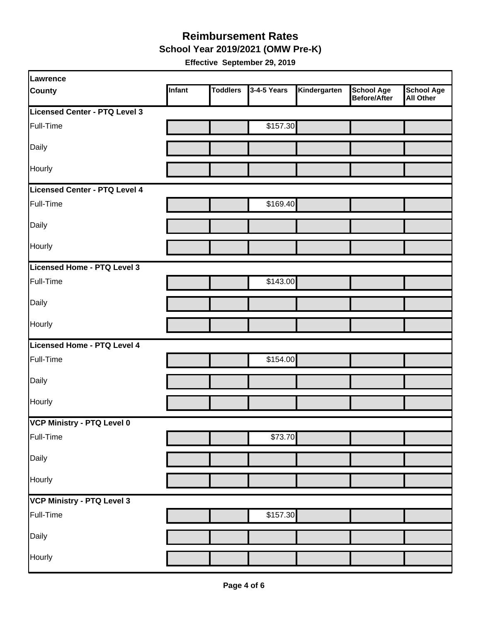**School Year 2019/2021 (OMW Pre-K)** 

| Lawrence                      |        |                 |             |              |                                   |                                       |
|-------------------------------|--------|-----------------|-------------|--------------|-----------------------------------|---------------------------------------|
| <b>County</b>                 | Infant | <b>Toddlers</b> | 3-4-5 Years | Kindergarten | <b>School Age</b><br>Before/After | <b>School Age</b><br><b>All Other</b> |
| Licensed Center - PTQ Level 3 |        |                 |             |              |                                   |                                       |
| Full-Time                     |        |                 | \$157.30    |              |                                   |                                       |
| Daily                         |        |                 |             |              |                                   |                                       |
| Hourly                        |        |                 |             |              |                                   |                                       |
| Licensed Center - PTQ Level 4 |        |                 |             |              |                                   |                                       |
| Full-Time                     |        |                 | \$169.40    |              |                                   |                                       |
| Daily                         |        |                 |             |              |                                   |                                       |
| Hourly                        |        |                 |             |              |                                   |                                       |
| Licensed Home - PTQ Level 3   |        |                 |             |              |                                   |                                       |
| Full-Time                     |        |                 | \$143.00    |              |                                   |                                       |
| Daily                         |        |                 |             |              |                                   |                                       |
| Hourly                        |        |                 |             |              |                                   |                                       |
| Licensed Home - PTQ Level 4   |        |                 |             |              |                                   |                                       |
| Full-Time                     |        |                 | \$154.00    |              |                                   |                                       |
| Daily                         |        |                 |             |              |                                   |                                       |
| Hourly                        |        |                 |             |              |                                   |                                       |
| VCP Ministry - PTQ Level 0    |        |                 |             |              |                                   |                                       |
| Full-Time                     |        |                 | \$73.70     |              |                                   |                                       |
| Daily                         |        |                 |             |              |                                   |                                       |
| Hourly                        |        |                 |             |              |                                   |                                       |
| VCP Ministry - PTQ Level 3    |        |                 |             |              |                                   |                                       |
| Full-Time                     |        |                 | \$157.30    |              |                                   |                                       |
| Daily                         |        |                 |             |              |                                   |                                       |
| Hourly                        |        |                 |             |              |                                   |                                       |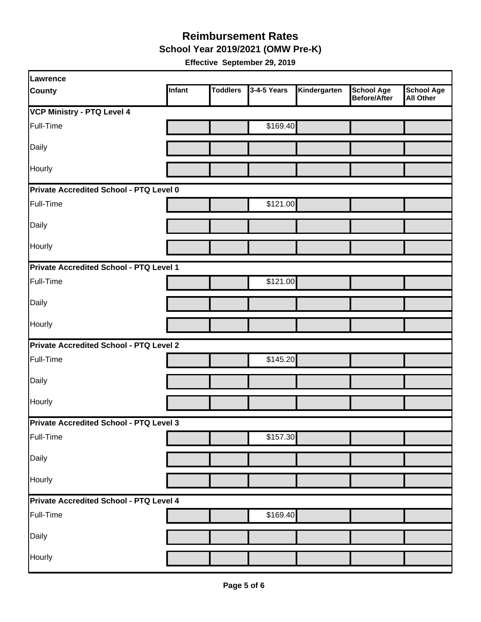**School Year 2019/2021 (OMW Pre-K)** 

| Lawrence                                       |        |                 |             |              |                                          |                                       |  |  |
|------------------------------------------------|--------|-----------------|-------------|--------------|------------------------------------------|---------------------------------------|--|--|
| <b>County</b>                                  | Infant | <b>Toddlers</b> | 3-4-5 Years | Kindergarten | <b>School Age</b><br><b>Before/After</b> | <b>School Age</b><br><b>All Other</b> |  |  |
| <b>VCP Ministry - PTQ Level 4</b>              |        |                 |             |              |                                          |                                       |  |  |
| Full-Time                                      |        |                 | \$169.40    |              |                                          |                                       |  |  |
| Daily                                          |        |                 |             |              |                                          |                                       |  |  |
| Hourly                                         |        |                 |             |              |                                          |                                       |  |  |
| Private Accredited School - PTQ Level 0        |        |                 |             |              |                                          |                                       |  |  |
| Full-Time                                      |        |                 | \$121.00    |              |                                          |                                       |  |  |
| Daily                                          |        |                 |             |              |                                          |                                       |  |  |
| Hourly                                         |        |                 |             |              |                                          |                                       |  |  |
| Private Accredited School - PTQ Level 1        |        |                 |             |              |                                          |                                       |  |  |
| Full-Time                                      |        |                 | \$121.00    |              |                                          |                                       |  |  |
| Daily                                          |        |                 |             |              |                                          |                                       |  |  |
| Hourly                                         |        |                 |             |              |                                          |                                       |  |  |
| <b>Private Accredited School - PTQ Level 2</b> |        |                 |             |              |                                          |                                       |  |  |
| Full-Time                                      |        |                 | \$145.20    |              |                                          |                                       |  |  |
| Daily                                          |        |                 |             |              |                                          |                                       |  |  |
| Hourly                                         |        |                 |             |              |                                          |                                       |  |  |
| Private Accredited School - PTQ Level 3        |        |                 |             |              |                                          |                                       |  |  |
| Full-Time                                      |        |                 | \$157.30    |              |                                          |                                       |  |  |
| Daily                                          |        |                 |             |              |                                          |                                       |  |  |
| Hourly                                         |        |                 |             |              |                                          |                                       |  |  |
| Private Accredited School - PTQ Level 4        |        |                 |             |              |                                          |                                       |  |  |
| Full-Time                                      |        |                 | \$169.40    |              |                                          |                                       |  |  |
| Daily                                          |        |                 |             |              |                                          |                                       |  |  |
| Hourly                                         |        |                 |             |              |                                          |                                       |  |  |